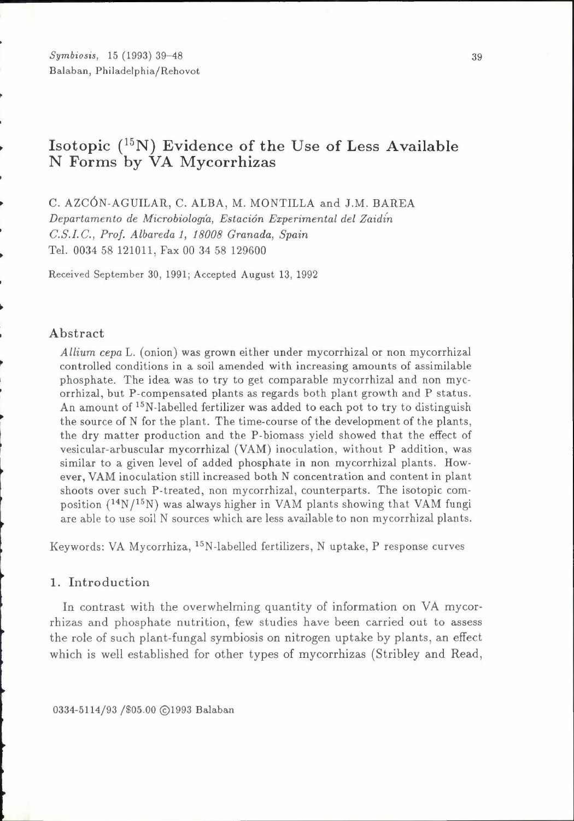*Symbiosis,* 15 (1993) 39-48 Balaban, Philadelphia/Rehovot

## **Isotopic** (15N) **Evidence of the** Use **of** Less **Available N Forms by VA Mycorr hizas**

C. AZC6N-AGUILAR, C. ALBA, M. MONTILLA and J.M. BAREA

*Departamento de Microbioloqia, Estacion Experimental del Zaidin* 

*C.S.I.C., Prof. Albareda 1, 18008 Granada, Spain* 

Tel. 0034 58 121011, Fax 00 34 58 129600

Received September 30, 1991; Accepted August 13, 1992

#### Abstract

~

l

*Allium cepa* L. ( onion) was grown either under mycorrhizal or non mycorrhizal controlled conditions in a soil amended with increasing amounts of assimilable phosphate. The idea was to try to get comparable mycorrhizal and non mycorrhizal, but P-compensated plants as regards both plant growth and P status. An amount of <sup>15</sup>N-labelled fertilizer was added to each pot to try to distinguish the source of N for the plant. The time-course of the development of the plants, the dry matter production and the P-biomass yield showed that the effect of vesicular-arbuscular mycorrhizal (VAM) inoculation, without P addition, was similar to a given level of added phosphate in non mycorrhizal plants. However, VAM inoculation still increased both N concentration and content in plant shoots over such P-treated, non mycorrhizal, counterparts. The isotopic composition  $(^{14}N/^{15}N)$  was always higher in VAM plants showing that VAM fungi are able to use soil N sources which are less available to non mycorrhizal plants.

Keywords: VA Mycorrhiza, 15N-labelled fertilizers, N uptake, P response curves

## **1.** Introduction

In contrast with the overwhelming quantity of information on VA mycorrhizas and phosphate nutrition, few studies have been carried out to assess the role of such plant-fungal symbiosis on nitrogen uptake by plants, an effect which is well established for other types of mycorrhizas (Stribley and Read,

0334-5114/93 /\$05.00 @1993 Balaban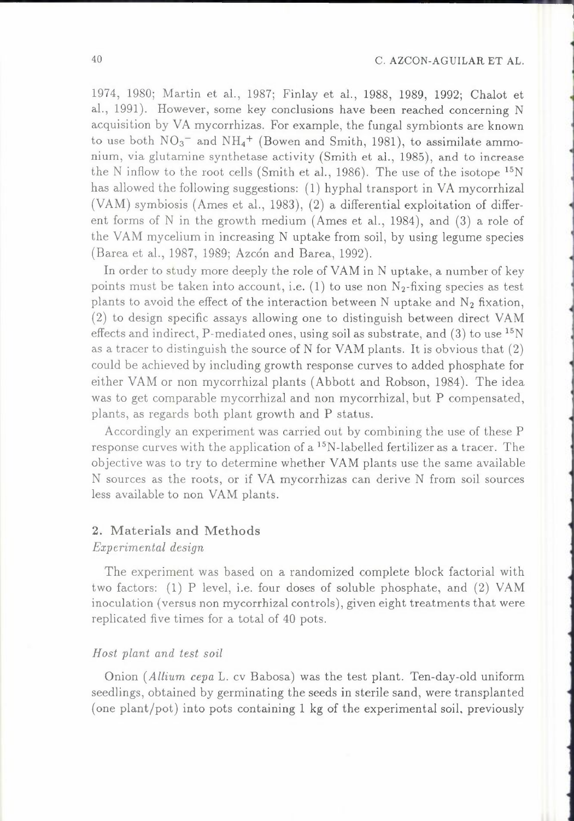## 40 C. AZCON-AGUILAR ET AL.

1974, 1980; Martin et al., 1987; Finlay et al., 1988, 1989, 1992; Chalot et al., 1991). However, some key conclusions have been reached concerning N acquisition by VA mycorrhizas. For example, the fungal symbionts are known to use both  $NO_3^-$  and  $NH_4^+$  (Bowen and Smith, 1981), to assimilate ammonium, via glutamine synthetase activity (Smith et al., 1985), and to increase the N inflow to the root cells (Smith et al., 1986). The use of the isotope  ${}^{15}N$ has allowed the following suggestions: ( 1) hyphal transport in VA mycorrhizal (YAM) symbiosis (Ames et al., 1983), (2) a differential exploitation of different forms of N in the growth medium (Ames et al., 1984), and (3) a role of the VAM mycelium in increasing N uptake from soil, by using legume species (Barea et al., 1987, 1989; Azcón and Barea, 1992).

In order to study more deeply the role of YAM in N uptake, a number of key points must be taken into account, i.e.  $(1)$  to use non N<sub>2</sub>-fixing species as test plants to avoid the effect of the interaction between N uptake and  $N_2$  fixation, (2) to design specific assays allowing one to distinguish between direct VAM effects and indirect, P-mediated ones, using soil as substrate, and  $(3)$  to use <sup>15</sup>N as a tracer to distinguish the source of N for YAM plants. It is obvious that (2) could be achieved by including growth response curves to added phosphate for either YAM or non mycorrhizal plants (Abbott and Robson, 1984). The idea was to get comparable mycorrhizal and non mycorrhizal, but P compensated, plants, as regards both plant growth and P status.

Accordingly an experiment was carried out by combining the use of these P response curves with the application of a <sup>15</sup>N-labelled fertilizer as a tracer. The objective was to try to determine whether YAM plants use the same available N sources as the roots, or if VA mycorrhizas can derive N from soil sources less available to non YAM plants.

# 2. Materials and Methods

## *Experimental design*

The experiment was based on a randomized complete block factorial with two factors: (1) P level, i.e. four doses of soluble phosphate, and (2) YAM inoculation (versus non mycorrhizal controls), given eight treatments that were replicated five times for a total of 40 pots.

#### *Host plant and test soil*

Onion *(Allium cepa* L. cv Babosa) was the test plant. Ten-day-old uniform seedlings, obtained by germinating the seeds in sterile sand, were transplanted (one plant/pot) into pots containing  $1 \text{ kg}$  of the experimental soil, previously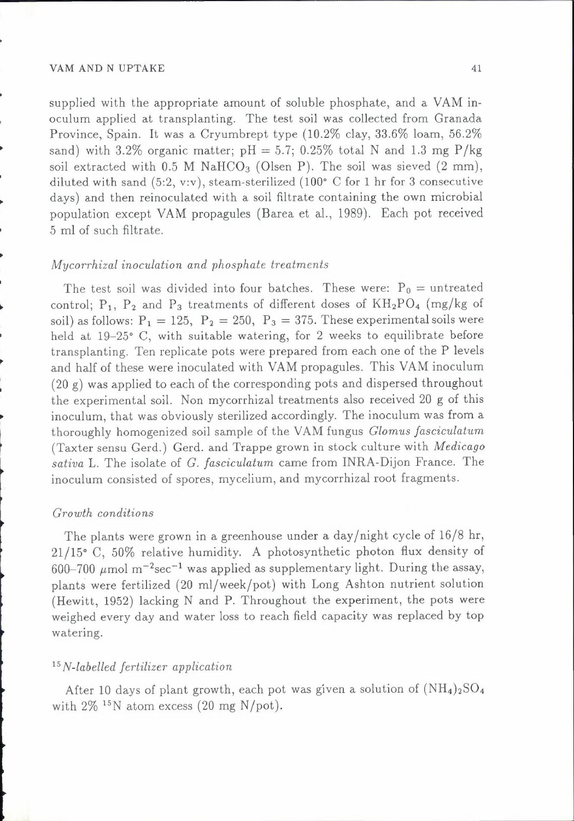supplied with the appropriate amount of soluble phosphate, and a VAM inoculum applied at transplanting. The test soil was collected from Granada Province, Spain. It was a Cryumbrept type (10.2% clay, 33.6% loam, 56.2% sand) with  $3.2\%$  organic matter;  $pH = 5.7$ ;  $0.25\%$  total N and 1.3 mg P/kg soil extracted with 0.5 M NaHCO<sub>3</sub> (Olsen P). The soil was sieved  $(2 \text{ mm})$ , diluted with sand  $(5:2, v:v)$ , steam-sterilized  $(100<sup>o</sup> C$  for 1 hr for 3 consecutive days) and then reinoculated with a soil filtrate containing the own microbial population except VAM propagules (Barea et al., 1989). Each pot received 5 ml of such filtrate.

## *Mycorrhizal inoculation and phosphate treatments*

The test soil was divided into four batches. These were:  $P_0 =$  untreated control;  $P_1$ ,  $P_2$  and  $P_3$  treatments of different doses of  $KH_2PO_4$  (mg/kg of soil) as follows:  $P_1 = 125$ ,  $P_2 = 250$ ,  $P_3 = 375$ . These experimental soils were held at 19-25° C, with suitable watering, for 2 weeks to equilibrate before transplanting. Ten replicate pots were prepared from each one of the P levels and half of these were inoculated with VAM propagules. This VAM inoculum (20 g) was applied to each of the corresponding pots and dispersed throughout the experimental soil. Non mycorrhizal treatments also received 20 g of this inoculum, that was obviously sterilized accordingly. The inoculum was from a thoroughly homogenized soil sample of the VAM fungus *Glomus fasciculatum*  (Taxter sensu Gerd.) Gerd. and Trappe grown in stock culture with *Medicago sativa* L. The isolate of *G. fasciculatum* came from !NRA-Dijon France. The inoculum consisted of spores, mycelium, and mycorrhizal root fragments.

#### *Growth conditions*

The plants were grown in a greenhouse under a day/night cycle of 16/8 hr, 21/15° C, 50% relative humidity. A photosynthetic photon flux density of 600-700  $\mu$ mol m<sup>-2</sup>sec<sup>-1</sup> was applied as supplementary light. During the assay, plants were fertilized (20 ml/week/pot) with Long Ashton nutrient solution (Hewitt, 1952) lacking N and **P.** Throughout the experiment, the pots were weighed every day and water loss to reach field capacity was replaced by top watering.

## <sup>15</sup>*N-labelled fertilizer application*

After 10 days of plant growth, each pot was given a solution of  $(NH_4)_2SO_4$ with  $2\%$  <sup>15</sup>N atom excess (20 mg N/pot).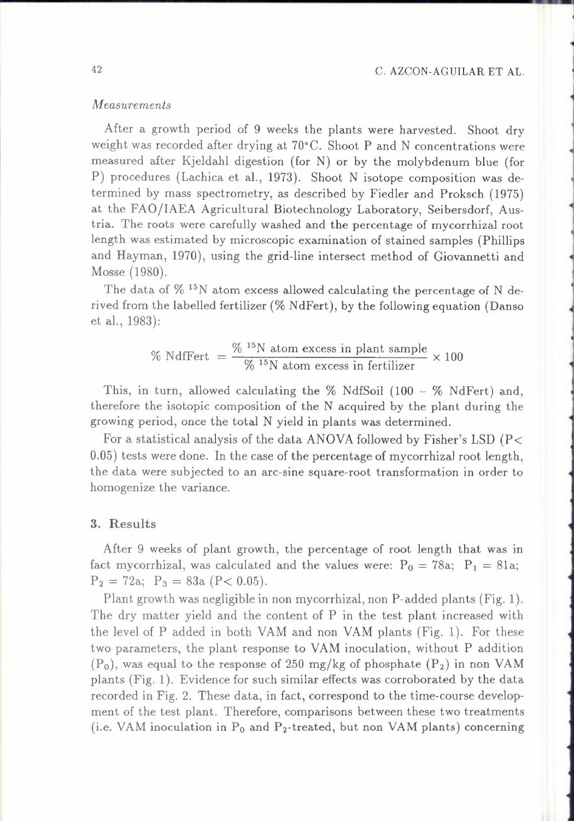## *Measurements*

After a growth period of 9 weeks the plants were harvested. Shoot dry weight was recorded after drying at 70°C. Shoot P and N concentrations were measured after Kjeldahl digestion (for N) or by the molybdenum blue (for P) procedures (Lachica et al., 1973). Shoot N isotope composition was determined by mass spectrometry, as described by Fiedler and Proksch (1975) at the FAO/IAEA Agricultural Biotechnology Laboratory, Seibersdorf, Austria. The roots were carefully washed and the percentage of mycorrhizal root length was estimated by microscopic examination of stained samples (Phillips and Hayman, 1970), using the grid-line intersect method of Giovannetti and Mosse (1980).

The data of  $\%$  <sup>15</sup>N atom excess allowed calculating the percentage of N derived from the labelled fertilizer(% NdFert), by the following equation (Danso et al., 1983):

% NdfFert = 
$$
\frac{\% \text{ 15N atom excess in plant sample}}{\% \text{ 15N atom excess in fertilizer}} \times 100
$$

This, in turn, allowed calculating the  $\%$  NdfSoil (100 -  $\%$  NdFert) and, therefore the isotopic composition of the N acquired by the plant during the growing period, once the total N yield in plants was determined.

For a statistical analysis of the data ANOVA followed by Fisher's LSD ( $P\leq$ 0.05) tests were done. In the case of the percentage of mycorrhizal root length, the data were subjected to an arc-sine square-root transformation in order to homogenize the variance.

## 3. Results

After 9 weeks of plant growth, the percentage of root length that was in fact mycorrhizal, was calculated and the values were:  $P_0 = 78a$ ;  $P_1 = 81a$ ;  $P_2 = 72a$ ;  $P_3 = 83a$  (P< 0.05).

Plant growth was negligible in non mycorrhizal, non P-added plants (Fig. 1 ). The dry matter yield and the content of P in the test plant increased with the level of P added in both YAM and non YAM plants (Fig. 1). For these two parameters, the plant response to YAM inoculation, without P addition  $(P_0)$ , was equal to the response of 250 mg/kg of phosphate  $(P_2)$  in non VAM plants (Fig. 1). Evidence for such similar effects was corroborated by the data recorded in Fig. 2. These data, in fact, correspond to the time-course development of the test plant. Therefore, comparisons between these two treatments (i.e. VAM inoculation in  $P_0$  and  $P_2$ -treated, but non VAM plants) concerning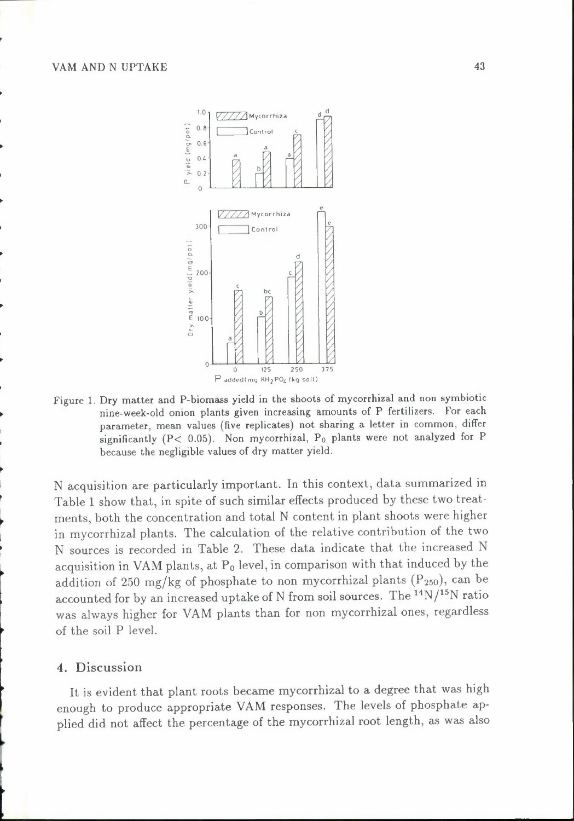

Figure 1. Dry matter and P-biomass yield in the shoots of mycorrhizal and non symbiotic nine-week-old onion plants given increasing amounts of P fertilizers. For each parameter, mean values (five replicates) not sharing a letter in common, differ significantly (P< 0.05). Non mycorrhizal, Po plants were not analyzed for P because the negligible values of dry matter yield.

N acquisition are particularly important. In this context, data summarized in Table 1 show that, in spite of such similar effects produced by these two treatments, both the concentration and total N content in plant shoots were higher in mycorrhizal plants. The calculation of the relative contribution of the two N sources is recorded in Table 2. These data indicate that the increased N acquisition in VAM plants, at  $P_0$  level, in comparison with that induced by the addition of 250 mg/kg of phosphate to non mycorrhizal plants  $(P_{250})$ , can be accounted for by an increased uptake of N from soil sources. The  $\rm ^{14}N/^{15}N$  ratio was always higher for YAM plants than for non mycorrhizal ones, regardless of the soil P level.

## 4. Discussion

l

It is evident that plant roots became mycorrhizal to a degree that was high enough to produce appropriate YAM responses. The levels of phosphate applied did not affect the percentage of the mycorrhizal root length, as was also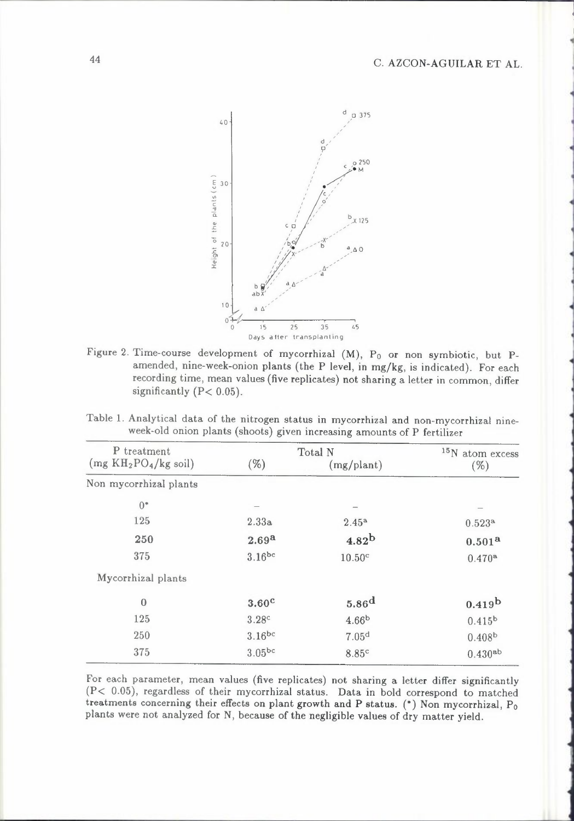

Figure 2. Time-course development of mycorrhizal (M), Po or non symbiotic, but Pamended, nine-week-onion plants (the P level, in mg/kg, is indicated). For each recording time, mean values (five replicates) not sharing a letter in common, differ significantly  $(P < 0.05)$ .

Table 1. Analytical data of the nitrogen status in mycorrhizal and non-mycorrhizal nineweek-old onion plants (shoots) given increasing amounts of P fertilizer

| P treatment              | Total N           |                    | $15$ N atom excess |  |
|--------------------------|-------------------|--------------------|--------------------|--|
| $(mg K H_2PO_4/kg soil)$ | $(\% )$           | (mg/plant)         | $(\%)$             |  |
| Non mycorrhizal plants   |                   |                    |                    |  |
| $0^*$                    |                   |                    |                    |  |
| 125                      | 2.33a             | $2.45^{\rm a}$     | 0.523a             |  |
| 250                      | 2.69 <sup>a</sup> | 4.82 <sup>b</sup>  | $0.501^{a}$        |  |
| 375                      | $3.16^{bc}$       | 10.50 <sup>c</sup> | $0.470^{\rm a}$    |  |
| Mycorrhizal plants       |                   |                    |                    |  |
| $\bf{0}$                 | 3.60 <sup>c</sup> | 5.86 <sup>d</sup>  | 0.419 <sup>b</sup> |  |
| 125                      | 3.28c             | 4.66 <sup>b</sup>  | $0.415^{b}$        |  |
| 250                      | $3.16^{bc}$       | 7.05 <sup>d</sup>  | 0.408 <sup>b</sup> |  |
| 375                      | $3.05^{bc}$       | 8.85c              | $0.430^{ab}$       |  |

For each parameter, mean values (five replicates) not sharing a letter differ significantly (P< 0.05), regardless of their mycorrhizal status. Data in bold correspond to matched treatments concerning their effects on plant growth and P status.  $(*)$  Non mycorrhizal,  $P_0$ plants were not analyzed for N, because of the negligible values of dry matter yield.

44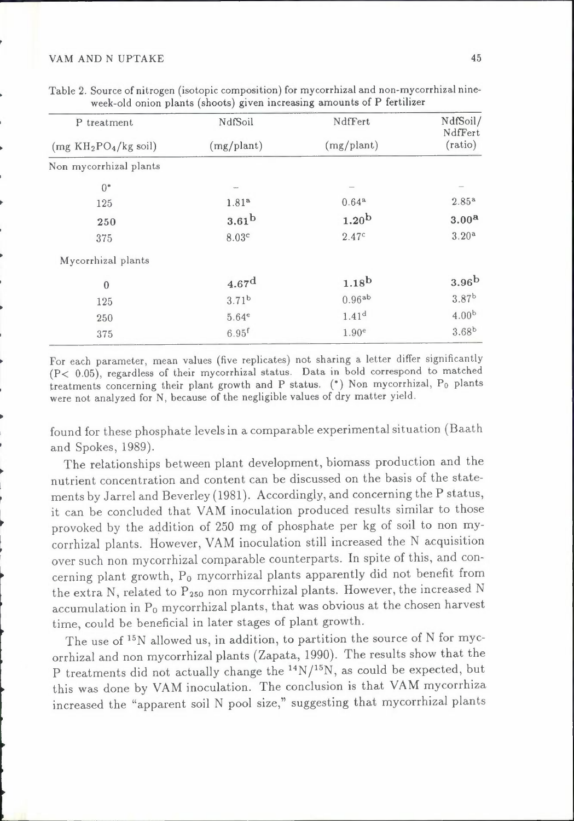| P treatment<br>$(mg K H_2PO_4/kg)$ soil) | NdfSoil<br>(mg/plant)                                                                                                                                                                                                                                                                                                                                                                                                                         | NdfFert<br>(mg/plant) | NdfSoil/<br>NdfFert |
|------------------------------------------|-----------------------------------------------------------------------------------------------------------------------------------------------------------------------------------------------------------------------------------------------------------------------------------------------------------------------------------------------------------------------------------------------------------------------------------------------|-----------------------|---------------------|
|                                          |                                                                                                                                                                                                                                                                                                                                                                                                                                               |                       | (ratio)             |
| Non mycorrhizal plants                   |                                                                                                                                                                                                                                                                                                                                                                                                                                               |                       |                     |
| $0^*$                                    | $\frac{1}{2} \left( \frac{1}{2} \right)^{2} \left( \frac{1}{2} \right)^{2} \left( \frac{1}{2} \right)^{2} \left( \frac{1}{2} \right)^{2} \left( \frac{1}{2} \right)^{2} \left( \frac{1}{2} \right)^{2} \left( \frac{1}{2} \right)^{2} \left( \frac{1}{2} \right)^{2} \left( \frac{1}{2} \right)^{2} \left( \frac{1}{2} \right)^{2} \left( \frac{1}{2} \right)^{2} \left( \frac{1}{2} \right)^{2} \left( \frac{1}{2} \right)^{2} \left( \frac$ |                       |                     |
| 125                                      | 1.81 <sup>a</sup>                                                                                                                                                                                                                                                                                                                                                                                                                             | $0.64^{\rm a}$        | $2.85^{a}$          |
| 250                                      | 3.61 <sup>b</sup>                                                                                                                                                                                                                                                                                                                                                                                                                             | 1.20 <sup>b</sup>     | 3.00 <sup>a</sup>   |
| 375                                      | 8.03c                                                                                                                                                                                                                                                                                                                                                                                                                                         | 2.47c                 | 3.20 <sup>a</sup>   |
| Mycorrhizal plants                       |                                                                                                                                                                                                                                                                                                                                                                                                                                               |                       |                     |
| $\overline{0}$                           | 4.67 <sup>d</sup>                                                                                                                                                                                                                                                                                                                                                                                                                             | $1.18^{b}$            | 3.96 <sup>b</sup>   |
| 125                                      | 3.71 <sup>b</sup>                                                                                                                                                                                                                                                                                                                                                                                                                             | $0.96^{ab}$           | 3.87 <sup>b</sup>   |
| 250                                      | 5.64e                                                                                                                                                                                                                                                                                                                                                                                                                                         | 1.41 <sup>d</sup>     | 4.00 <sup>b</sup>   |
| 375                                      | $6.95$ <sup>f</sup>                                                                                                                                                                                                                                                                                                                                                                                                                           | 1.90 <sup>e</sup>     | $3.68^{b}$          |

| Table 2. Source of nitrogen (isotopic composition) for mycorrhizal and non-mycorrhizal nine- |                                                                         |  |
|----------------------------------------------------------------------------------------------|-------------------------------------------------------------------------|--|
|                                                                                              | week-old onion plants (shoots) given increasing amounts of P fertilizer |  |

For each parameter, mean values (five replicates) not sharing a letter differ significantly (P< 0.05), regardless of their mycorrhizal status. Data in bold correspond to matched treatments concerning their plant growth and P status. (\*) Non mycorrhizal, Po plants were not analyzed for N, because of the negligible values of dry matter yield.

found for these phosphate levels in a comparable experimental situation (Baath and Spokes, 1989).

The relationships between plant development, biomass production and the nutrient concentration and content can be discussed on the basis of the statements by Jarrel and Beverley (1981). Accordingly, and concerning the P status, it can be concluded that YAM inoculation produced results similar to those provoked by the addition of 250 mg of phosphate per kg of soil to non mycorrhizal plants. However, YAM inoculation still increased the N acquisition over such non mycorrhizal comparable counterparts. In spite of this, and concerning plant growth, Po mycorrhizal plants apparently did not benefit from the extra N, related to  $P_{250}$  non mycorrhizal plants. However, the increased N accumulation in Po mycorrhizal plants, that was obvious at the chosen harvest time, could be beneficial in later stages of plant growth.

The use of <sup>15</sup>N allowed us, in addition, to partition the source of N for mycorrhizal and non mycorrhizal plants (Zapata, 1990). The results show that the P treatments did not actually change the  $^{14}N/^{15}N$ , as could be expected, but this was done by YAM inoculation. The conclusion is that YAM mycorrhiza increased the "apparent soil N pool size," suggesting that mycorrhizal plants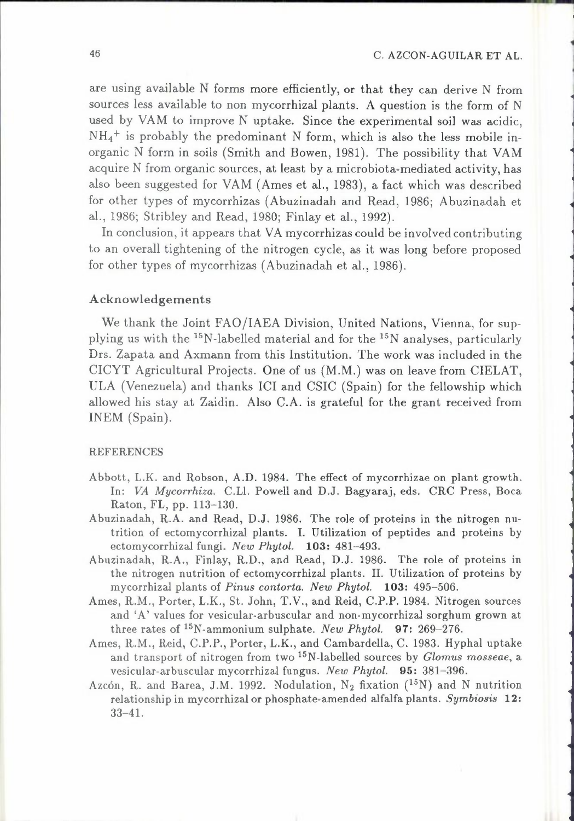:

1

are using available N forms more efficiently, or that they can derive N from sources less available to non mycorrhizal plants. A question is the form of N used by YAM to improve N uptake. Since the experimental soil was acidic,  $NH_4$ <sup>+</sup> is probably the predominant N form, which is also the less mobile inorganic N form in soils (Smith and Bowen, 1981). The possibility that YAM acquire N from organic sources, at least by a microbiota-mediated activity, has also been suggested for YAM (Ames et al., 1983), a fact which was described for other types of mycorrhizas (Abuzinadah and Read, 1986; Abuzinadah et al., 1986; Stribley and Read, 1980; Finlay et al., 1992).

In conclusion, it appears that VA mycorrhizas could be involved contributing to an overall tightening of the nitrogen cycle, as it was long before proposed for other types of mycorrhizas (Abuzinadah et al., 1986).

## Acknowledgements

We thank the Joint FAO/IAEA Division, United Nations, Vienna, for supplying us with the 15N-labelled material and for the 15N analyses, particularly Drs. Zapata and Axmann from this Institution. The work was included in the CICYT Agricultural Projects. One of us (M.M.) was on leave from CIELAT, ULA (Venezuela) and thanks ICI and CSIC (Spain) for the fellowship which allowed his stay at Zaidin. Also C.A. is grateful for the grant received from INEM (Spain).

#### REFERENCES

- Abbott, L.K. and Robson, A.D. 1984. The effect of mycorrhizae on plant growth. In: *VA Mycorrhiza.* C.Ll. Powell and D.J. Bagyaraj, eds. CRC Press, Boca Raton, FL, pp. 113-130.
- Abuzinadah, R.A. and Read, D.J. 1986. The role of proteins in the nitrogen nutrition of ectomycorrhizal plants. I. Utilization of peptides and proteins by ectomycorrhizal fungi. *New Phytol.* **103:** 481-493.
- Abuzinadah, R.A., Finlay, R.D., and Read, D.J. 1986. The role of proteins in the nitrogen nutrition of ectomycorrhizal plants. II. Utilization of proteins by mycorrhizal plants of *Pinus contorta. New Phytol.* **103:** 495-506.
- Ames, R.M., Porter, L.K., St. John, T.V., and Reid, C.P.P. 1984. Nitrogen sources and 'A' values for vesicular-arbuscular and non-mycorrhizal sorghum grown at three rates of <sup>15</sup>N-ammonium sulphate. *New Phytol.* 97: 269-276.
- Ames, R.M., Reid, C.P.P., Porter, L.K., and Cambardella, C. 1983. Hyphal uptake and transport of nitrogen from two 15N-labelled sources by *Glomus mosseae,* a vesicular-arbuscular mycorrhizal fungus. *New Phytol.* 95: 381-396.
- Azcón, R. and Barea, J.M. 1992. Nodulation, N<sub>2</sub> fixation (<sup>15</sup>N) and N nutrition relationship in mycorrhizal or phosphate-amended alfalfa plants. *Symbiosis* **12:**  33-41.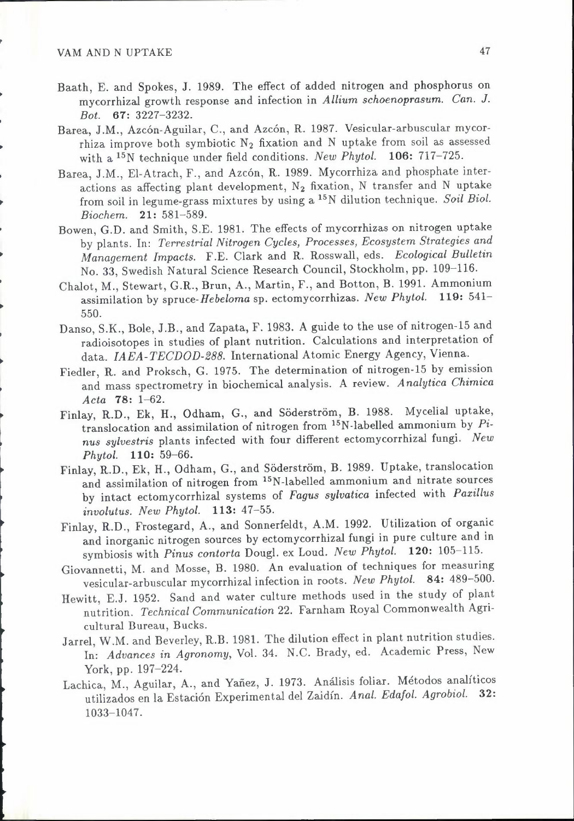- Baath, E. and Spokes, J. 1989. The effect of added nitrogen and phosphorus on mycorrhizal growth response and infection in *Allium schoenoprasum. Can. J. Bot.* 67: 3227-3232.
- Barea, J.M., Azcón-Aguilar, C., and Azcón, R. 1987. Vesicular-arbuscular mycorrhiza improve both symbiotic  $N_2$  fixation and N uptake from soil as assessed with a 15N technique under field conditions. *New Phytol.* 106: 717-725.
- Barea, J.M., El-Atrach, F., and Azcón, R. 1989. Mycorrhiza and phosphate interactions as affecting plant development,  $N_2$  fixation, N transfer and N uptake from soil in legume-grass mixtures by using a 15N dilution technique. *Soil Biol. Biochem.* 21: 581-589.
- Bowen, G.D. and Smith, S.E. 1981. The effects of mycorrhizas on nitrogen uptake by plants. In: *Terrestrial Nitrogen Cycles, Processes, Ecosystem Strategies and Management Impacts.* F.E. Clark and R. Rosswall, eds. *Ecological Bulletin*  No. 33, Swedish Natural Science Research Council, Stockholm, pp. 109-116.
- Chalot, M., Stewart, G.R., Brun, A., Martin, F., and Botton, B. 1991. Ammonium assimilation by *spruce-Hebeloma* sp. ectomycorrhizas. *New Phytol.* 119: 541- 550.
- Danso, S.K., Bole, J.B., and Zapata, F. 1983. A guide to the use of nitrogen-15 and radioisotopes in studies of plant nutrition. Calculations and interpretation of data. *IAEA-TECDOD-288.* International Atomic Energy Agency, Vienna.
- Fiedler, R. and Proksch, G. 1975. The determination of nitrogen-IS by emission and mass spectrometry in biochemical analysis. A review. *Analytica Chimica Acta* 78: 1-62.
- Finlay, R.D., Ek, H., Odham, G., and Söderström, B. 1988. Mycelial uptake, translocation and assimilation of nitrogen from 15N-labelled ammonium by *Pinus sylvestris* plants infected with four different ectomycorrhizal fungi. *New Phytol.* 110: 59-66.
- Finlay, R.D., Ek, H., Odham, G., and Söderström, B. 1989. Uptake, translocation and assimilation of nitrogen from <sup>15</sup>N-labelled ammonium and nitrate sources by intact ectomycorrhizal systems of *Fagus sylvatica* infected with *Paxillus involutus. New Phytol.* 113: 47-55.
- Finlay, R.D., Frostegard, A., and Sonnerfeldt, A.M. 1992. Utilization of organic and inorganic nitrogen sources by ectomycorrhizal fungi in pure culture and in symbiosis with *Pinus contoria* Dougl. ex Loud. *New Phytol.* 120: 105-115.
- Giovannetti, M. and Mosse, B. 1980. An evaluation of techniques for measuring vesicular-arbuscular mycorrhizal infection in roots. *New Phytol.* 84: 489-500.
- Hewitt, E.J. 1952. Sand and water culture methods used in the study of plant nutrition. *Technical Communication* 22. Farnham Royal Commonwealth Agricultural Bureau, Bucks.
- Jarrel, W.M. and Beverley, R.B. 1981. The dilution effect in plant nutrition studies. In: *Advances in Agronomy,* Vol. 34. N.C. Brady, ed. Academic Press, New York, pp. 197-224.
- Lachica, M., Aguilar, A., and Yañez, J. 1973. Análisis foliar. Métodos analíticos utilizados en la Estación Experimental del Zaidín. *Anal. Edafol. Agrobiol.* 32: 1033-1047.